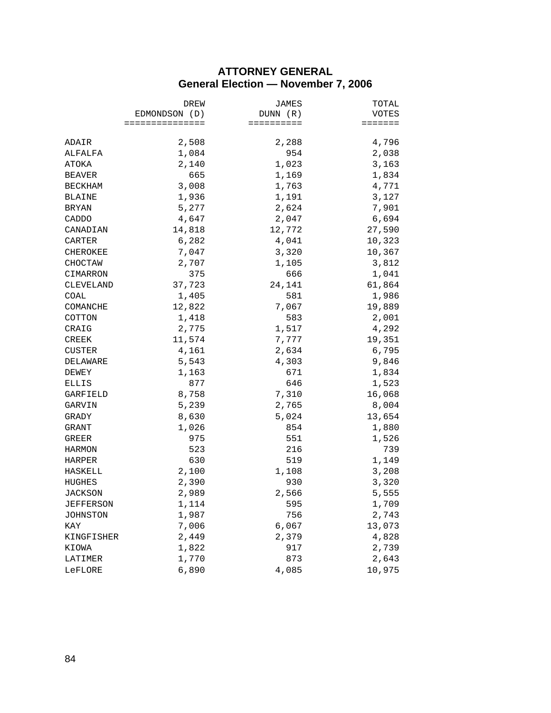## **ATTORNEY GENERAL General Election — November 7, 2006**

|                | DREW<br>EDMONDSON (D) | JAMES<br>DUNN (R) | TOTAL<br>VOTES |
|----------------|-----------------------|-------------------|----------------|
|                |                       |                   |                |
|                | ===============       | ==========        | =======        |
| ADAIR          | 2,508                 | 2,288             | 4,796          |
| ALFALFA        | 1,084                 | 954               | 2,038          |
| ATOKA          | 2,140                 | 1,023             | 3,163          |
| BEAVER         | 665                   | 1,169             | 1,834          |
| BECKHAM        | 3,008                 | 1,763             | 4,771          |
| BLAINE         | 1,936                 | 1,191             | 3,127          |
| BRYAN          | 5,277                 | 2,624             | 7,901          |
| CADDO          | 4,647                 | 2,047             | 6,694          |
| CANADIAN       | 14,818                | 12,772            | 27,590         |
| CARTER         | 6,282                 | 4,041             | 10,323         |
| CHEROKEE       | 7,047                 | 3,320             | 10,367         |
| CHOCTAW        | 2,707                 | 1,105             | 3,812          |
| CIMARRON       | 375                   | 666               | 1,041          |
| CLEVELAND      | 37,723                | 24,141            | 61,864         |
| COAL           | 1,405                 | 581               | 1,986          |
| COMANCHE       | 12,822                | 7,067             | 19,889         |
| COTTON         | 1,418                 | 583               | 2,001          |
| CRAIG          | 2,775                 | 1,517             | 4,292          |
| CREEK          | 11,574                | 7,777             | 19,351         |
| CUSTER         | 4,161                 | 2,634             | 6,795          |
| DELAWARE       | 5,543                 | 4,303             | 9,846          |
| DEWEY          | 1,163                 | 671               | 1,834          |
| ELLIS          | 877                   | 646               | 1,523          |
| GARFIELD       | 8,758                 | 7,310             | 16,068         |
| GARVIN         | 5,239                 | 2,765             | 8,004          |
| GRADY          | 8,630                 | 5,024             | 13,654         |
| GRANT          | 1,026                 | 854               | 1,880          |
| GREER          | 975                   | 551               | 1,526          |
| HARMON         | 523                   | 216               | 739            |
| HARPER         | 630                   | 519               | 1,149          |
| HASKELL        | 2,100                 | 1,108             | 3,208          |
| HUGHES         | 2,390                 | 930               | 3,320          |
| <b>JACKSON</b> | 2,989                 | 2,566             | 5,555          |
| JEFFERSON      | 1,114                 | 595               | 1,709          |
| JOHNSTON       | 1,987                 | 756               | 2,743          |
| KAY            | 7,006                 | 6,067             | 13,073         |
| KINGFISHER     | 2,449                 | 2,379             | 4,828          |
| KIOWA          | 1,822                 | 917               | 2,739          |
| LATIMER        | 1,770                 | 873               | 2,643          |
| LeFLORE        | 6,890                 | 4,085             | 10,975         |